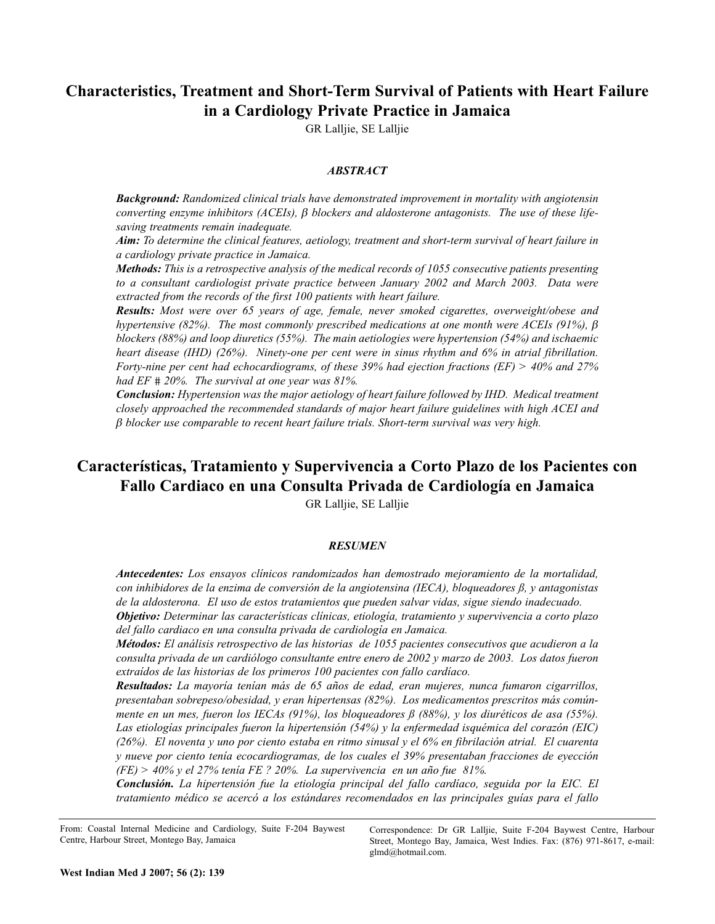## **Characteristics, Treatment and Short-Term Survival of Patients with Heart Failure in a Cardiology Private Practice in Jamaica**

GR Lalljie, SE Lalljie

#### *ABSTRACT*

*Background: Randomized clinical trials have demonstrated improvement in mortality with angiotensin converting enzyme inhibitors (ACEIs),* β *blockers and aldosterone antagonists. The use of these lifesaving treatments remain inadequate.*

*Aim: To determine the clinical features, aetiology, treatment and short-term survival of heart failure in a cardiology private practice in Jamaica.*

*Methods: This is a retrospective analysis of the medical records of 1055 consecutive patients presenting to a consultant cardiologist private practice between January 2002 and March 2003. Data were extracted from the records of the first 100 patients with heart failure.*

*Results: Most were over 65 years of age, female, never smoked cigarettes, overweight/obese and hypertensive (82%). The most commonly prescribed medications at one month were ACEIs (91%),* β *blockers (88%) and loop diuretics (55%). The main aetiologies were hypertension (54%) and ischaemic heart disease (IHD) (26%). Ninety-one per cent were in sinus rhythm and 6% in atrial fibrillation. Forty-nine per cent had echocardiograms, of these 39% had ejection fractions (EF) > 40% and 27% had EF* # *20%. The survival at one year was 81%.*

*Conclusion: Hypertension was the major aetiology of heart failure followed by IHD. Medical treatment closely approached the recommended standards of major heart failure guidelines with high ACEI and* β *blocker use comparable to recent heart failure trials. Short-term survival was very high.*

# **Características, Tratamiento y Supervivencia a Corto Plazo de los Pacientes con Fallo Cardiaco en una Consulta Privada de Cardiología en Jamaica**

GR Lalljie, SE Lalljie

#### *RESUMEN*

*Antecedentes: Los ensayos clínicos randomizados han demostrado mejoramiento de la mortalidad, con inhibidores de la enzima de conversión de la angiotensina (IECA), bloqueadores ß, y antagonistas de la aldosterona. El uso de estos tratamientos que pueden salvar vidas, sigue siendo inadecuado. Objetivo: Determinar las características clínicas, etiología, tratamiento y supervivencia a corto plazo del fallo cardiaco en una consulta privada de cardiología en Jamaica.* 

*Métodos: El análisis retrospectivo de las historias de 1055 pacientes consecutivos que acudieron a la consulta privada de un cardiólogo consultante entre enero de 2002 y marzo de 2003. Los datos fueron extraídos de las historias de los primeros 100 pacientes con fallo cardíaco.* 

*Resultados: La mayoría tenían más de 65 años de edad, eran mujeres, nunca fumaron cigarrillos, presentaban sobrepeso/obesidad, y eran hipertensas (82%). Los medicamentos prescritos más comúnmente en un mes, fueron los IECAs (91%), los bloqueadores ß (88%), y los diuréticos de asa (55%). Las etiologías principales fueron la hipertensión (54%) y la enfermedad isquémica del corazón (EIC) (26%). El noventa y uno por ciento estaba en ritmo sinusal y el 6% en fibrilación atrial. El cuarenta y nueve por ciento tenía ecocardiogramas, de los cuales el 39% presentaban fracciones de eyección (FE) > 40% y el 27% tenía FE ? 20%. La supervivencia en un año fue 81%.*

*Conclusión. La hipertensión fue la etiología principal del fallo cardíaco, seguida por la EIC. El tratamiento médico se acercó a los estándares recomendados en las principales guías para el fallo*

From: Coastal Internal Medicine and Cardiology, Suite F-204 Baywest Centre, Harbour Street, Montego Bay, Jamaica

Correspondence: Dr GR Lalljie, Suite F-204 Baywest Centre, Harbour Street, Montego Bay, Jamaica, West Indies. Fax: (876) 971-8617, e-mail: glmd@hotmail.com.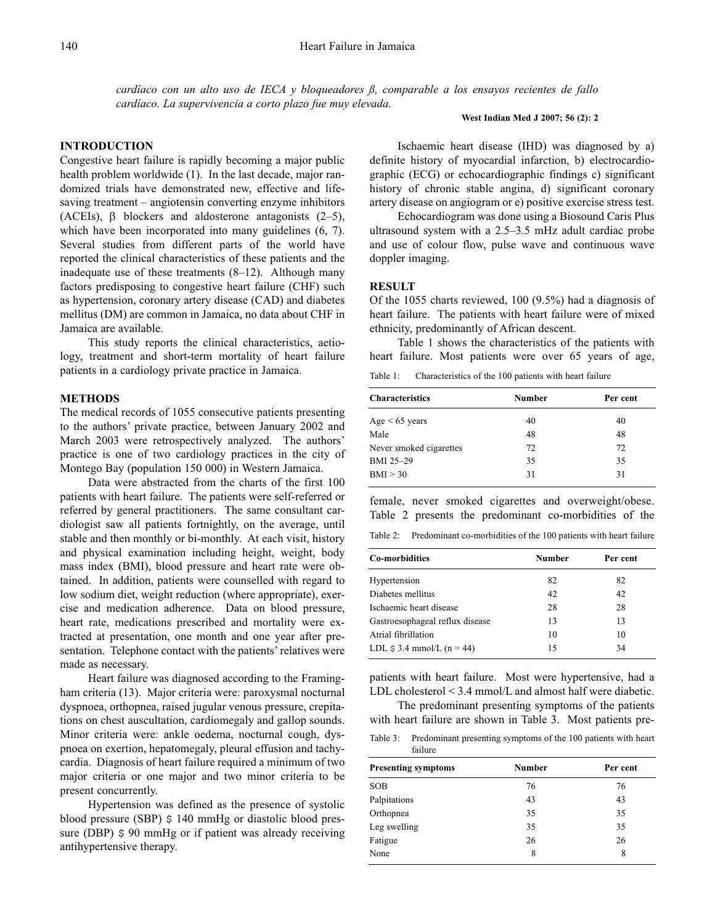*cardíaco con un alto uso de IECA y bloqueadores ß, comparable a los ensayos recientes de fallo cardíaco. La supervivencia a corto plazo fue muy elevada.* 

#### **INTRODUCTION**

Congestive heart failure is rapidly becoming a major public health problem worldwide (1). In the last decade, major randomized trials have demonstrated new, effective and lifesaving treatment – angiotensin converting enzyme inhibitors (ACEIs),  $\beta$  blockers and aldosterone antagonists (2–5), which have been incorporated into many guidelines  $(6, 7)$ . Several studies from different parts of the world have reported the clinical characteristics of these patients and the inadequate use of these treatments (8–12). Although many factors predisposing to congestive heart failure (CHF) such as hypertension, coronary artery disease (CAD) and diabetes mellitus (DM) are common in Jamaica, no data about CHF in Jamaica are available.

This study reports the clinical characteristics, aetiology, treatment and short-term mortality of heart failure patients in a cardiology private practice in Jamaica.

### **METHODS**

The medical records of 1055 consecutive patients presenting to the authors' private practice, between January 2002 and March 2003 were retrospectively analyzed. The authors' practice is one of two cardiology practices in the city of Montego Bay (population 150 000) in Western Jamaica.

Data were abstracted from the charts of the first 100 patients with heart failure. The patients were self-referred or referred by general practitioners. The same consultant cardiologist saw all patients fortnightly, on the average, until stable and then monthly or bi-monthly. At each visit, history and physical examination including height, weight, body mass index (BMI), blood pressure and heart rate were obtained. In addition, patients were counselled with regard to low sodium diet, weight reduction (where appropriate), exercise and medication adherence. Data on blood pressure, heart rate, medications prescribed and mortality were extracted at presentation, one month and one year after presentation. Telephone contact with the patients' relatives were made as necessary.

Heart failure was diagnosed according to the Framingham criteria (13). Major criteria were: paroxysmal nocturnal dyspnoea, orthopnea, raised jugular venous pressure, crepitations on chest auscultation, cardiomegaly and gallop sounds. Minor criteria were: ankle oedema, nocturnal cough, dyspnoea on exertion, hepatomegaly, pleural effusion and tachycardia. Diagnosis of heart failure required a minimum of two major criteria or one major and two minor criteria to be present concurrently.

Hypertension was defined as the presence of systolic blood pressure (SBP)  $\frac{140 \text{ mmHg}}{20 \text{ radis}}$  or diastolic blood pressure (DBP)  $\frac{1}{2}$  90 mmHg or if patient was already receiving antihypertensive therapy.

#### **West Indian Med J 2007; 56 (2): 2**

Ischaemic heart disease (IHD) was diagnosed by a) definite history of myocardial infarction, b) electrocardiographic (ECG) or echocardiographic findings c) significant history of chronic stable angina, d) significant coronary artery disease on angiogram or e) positive exercise stress test.

Echocardiogram was done using a Biosound Caris Plus ultrasound system with a 2.5–3.5 mHz adult cardiac probe and use of colour flow, pulse wave and continuous wave doppler imaging.

#### **RESULT**

Of the 1055 charts reviewed, 100 (9.5%) had a diagnosis of heart failure. The patients with heart failure were of mixed ethnicity, predominantly of African descent.

Table 1 shows the characteristics of the patients with heart failure. Most patients were over 65 years of age,

Table 1: Characteristics of the 100 patients with heart failure

| <b>Characteristics</b>  | <b>Number</b> | Per cent |
|-------------------------|---------------|----------|
| Age $< 65$ years        | 40            | 40       |
| Male                    | 48            | 48       |
| Never smoked cigarettes | 72            | 72       |
| BMI 25-29               | 35            | 35       |
| BMI > 30                | 31            | 31       |
|                         |               |          |

female, never smoked cigarettes and overweight/obese. Table 2 presents the predominant co-morbidities of the

Table 2: Predominant co-morbidities of the 100 patients with heart failure

| <b>Co-morbidities</b>           | Number | Per cent |
|---------------------------------|--------|----------|
| Hypertension                    | 82     | 82       |
| Diabetes mellitus               | 42     | 42       |
| Ischaemic heart disease         | 28     | 28       |
| Gastroesophageal reflux disease | 13     | 13       |
| Atrial fibrillation             | 10     | 10       |
| LDL $$3.4$ mmol/L (n = 44)      | 15     | 34       |
|                                 |        |          |

patients with heart failure. Most were hypertensive, had a LDL cholesterol < 3.4 mmol/L and almost half were diabetic.

The predominant presenting symptoms of the patients with heart failure are shown in Table 3. Most patients pre-

Table 3: Predominant presenting symptoms of the 100 patients with heart failure

| <b>Presenting symptoms</b> | Number | Per cent |
|----------------------------|--------|----------|
| <b>SOB</b>                 | 76     | 76       |
| Palpitations               | 43     | 43       |
| Orthopnea                  | 35     | 35       |
| Leg swelling               | 35     | 35       |
| Fatigue                    | 26     | 26       |
| None                       | 8      | 8        |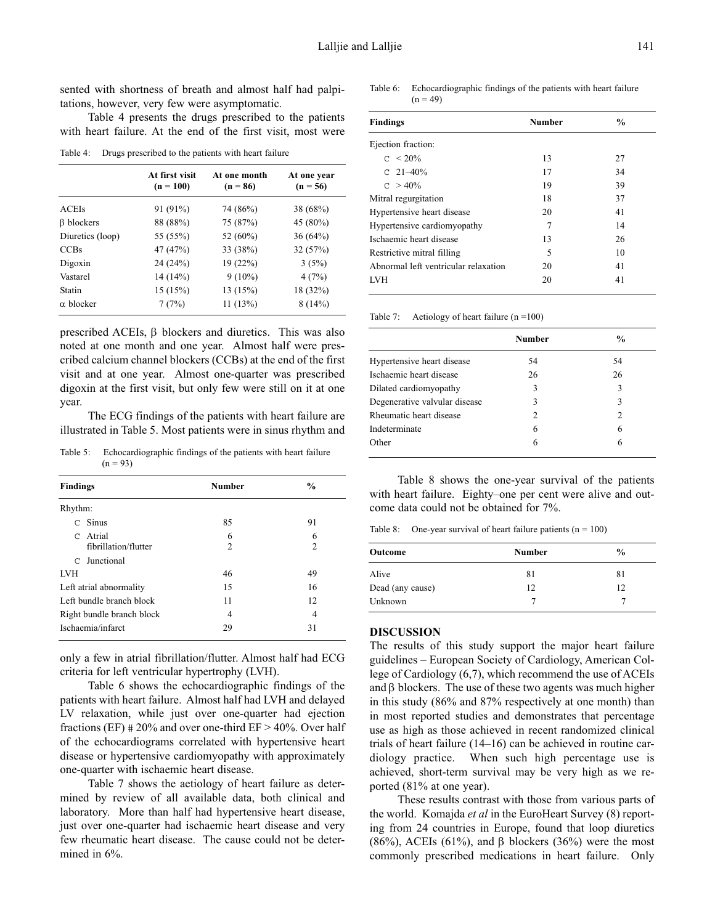sented with shortness of breath and almost half had palpitations, however, very few were asymptomatic.

Table 4 presents the drugs prescribed to the patients with heart failure. At the end of the first visit, most were

Table 4: Drugs prescribed to the patients with heart failure

|                   | At first visit<br>$(n = 100)$ | At one month<br>$(n = 86)$ | At one year<br>$(n = 56)$ |
|-------------------|-------------------------------|----------------------------|---------------------------|
| <b>ACEIs</b>      | 91 (91%)                      | 74 (86%)                   | 38(68%)                   |
| <b>B</b> blockers | 88 (88%)                      | 75 (87%)                   | 45 (80%)                  |
| Diuretics (loop)  | 55 (55%)                      | 52 (60%)                   | 36(64%)                   |
| <b>CCBs</b>       | 47 (47%)                      | 33 (38%)                   | 32(57%)                   |
| Digoxin           | 24(24%)                       | 19(22%)                    | 3(5%)                     |
| Vastarel          | 14 (14%)                      | $9(10\%)$                  | 4(7%)                     |
| Statin            | 15(15%)                       | 13(15%)                    | 18 (32%)                  |
| $\alpha$ blocker  | 7(7%)                         | 11(13%)                    | 8(14%)                    |

prescribed ACEIs, β blockers and diuretics. This was also noted at one month and one year. Almost half were prescribed calcium channel blockers (CCBs) at the end of the first visit and at one year. Almost one-quarter was prescribed digoxin at the first visit, but only few were still on it at one year.

The ECG findings of the patients with heart failure are illustrated in Table 5. Most patients were in sinus rhythm and

Table 5: Echocardiographic findings of the patients with heart failure  $(n = 93)$ 

| <b>Findings</b> |                                | <b>Number</b>       | $\frac{0}{0}$       |
|-----------------|--------------------------------|---------------------|---------------------|
| Rhythm:         |                                |                     |                     |
|                 | $C$ Sinus                      | 85                  | 91                  |
| $\mathcal{C}$   | Atrial<br>fibrillation/flutter | 6<br>$\overline{c}$ | 6<br>$\overline{c}$ |
| $\mathcal{C}$   | Junctional                     |                     |                     |
| <b>LVH</b>      |                                | 46                  | 49                  |
|                 | Left atrial abnormality        | 15                  | 16                  |
|                 | Left bundle branch block       | 11                  | 12                  |
|                 | Right bundle branch block      | 4                   | 4                   |
|                 | Ischaemia/infarct              | 29                  | 31                  |

only a few in atrial fibrillation/flutter. Almost half had ECG criteria for left ventricular hypertrophy (LVH).

Table 6 shows the echocardiographic findings of the patients with heart failure. Almost half had LVH and delayed LV relaxation, while just over one-quarter had ejection fractions (EF)  $\#20\%$  and over one-third EF > 40%. Over half of the echocardiograms correlated with hypertensive heart disease or hypertensive cardiomyopathy with approximately one-quarter with ischaemic heart disease.

Table 7 shows the aetiology of heart failure as determined by review of all available data, both clinical and laboratory. More than half had hypertensive heart disease, just over one-quarter had ischaemic heart disease and very few rheumatic heart disease. The cause could not be determined in 6%.

Table 6: Echocardiographic findings of the patients with heart failure  $(n = 49)$ 

| <b>Findings</b>                      | <b>Number</b> | $\frac{0}{0}$ |
|--------------------------------------|---------------|---------------|
|                                      |               |               |
| Ejection fraction:                   |               |               |
| $C < 20\%$                           | 13            | 27            |
| C $21-40%$                           | 17            | 34            |
| $C > 40\%$                           | 19            | 39            |
| Mitral regurgitation                 | 18            | 37            |
| Hypertensive heart disease           | 20            | 41            |
| Hypertensive cardiomyopathy          | 7             | 14            |
| Ischaemic heart disease              | 13            | 26            |
| Restrictive mitral filling           | 5             | 10            |
| Abnormal left ventricular relaxation | 20            | 41            |
| <b>LVH</b>                           | 20            | 41            |
|                                      |               |               |

Table 7: Aetiology of heart failure  $(n = 100)$ 

|                               | <b>Number</b>               | $\frac{6}{9}$ |
|-------------------------------|-----------------------------|---------------|
| Hypertensive heart disease    | 54                          | 54            |
| Ischaemic heart disease       | 26                          | 26            |
| Dilated cardiomyopathy        | 3                           | 3             |
| Degenerative valvular disease | 3                           | 3             |
| Rheumatic heart disease       | $\mathcal{D}_{\mathcal{L}}$ | $\mathcal{L}$ |
| Indeterminate                 | 6                           | 6             |
| Other                         | 6                           | 6             |

Table 8 shows the one-year survival of the patients with heart failure. Eighty–one per cent were alive and outcome data could not be obtained for 7%.

Table 8: One-year survival of heart failure patients  $(n = 100)$ 

| <b>Number</b> | $\frac{0}{0}$ |
|---------------|---------------|
| 81            | 81            |
| 12            | 12            |
|               |               |
|               |               |

#### **DISCUSSION**

The results of this study support the major heart failure guidelines – European Society of Cardiology, American College of Cardiology (6,7), which recommend the use of ACEIs and  $\beta$  blockers. The use of these two agents was much higher in this study (86% and 87% respectively at one month) than in most reported studies and demonstrates that percentage use as high as those achieved in recent randomized clinical trials of heart failure (14–16) can be achieved in routine cardiology practice. When such high percentage use is achieved, short-term survival may be very high as we reported (81% at one year).

These results contrast with those from various parts of the world. Komajda *et al* in the EuroHeart Survey (8) reporting from 24 countries in Europe, found that loop diuretics (86%), ACEIs (61%), and β blockers (36%) were the most commonly prescribed medications in heart failure. Only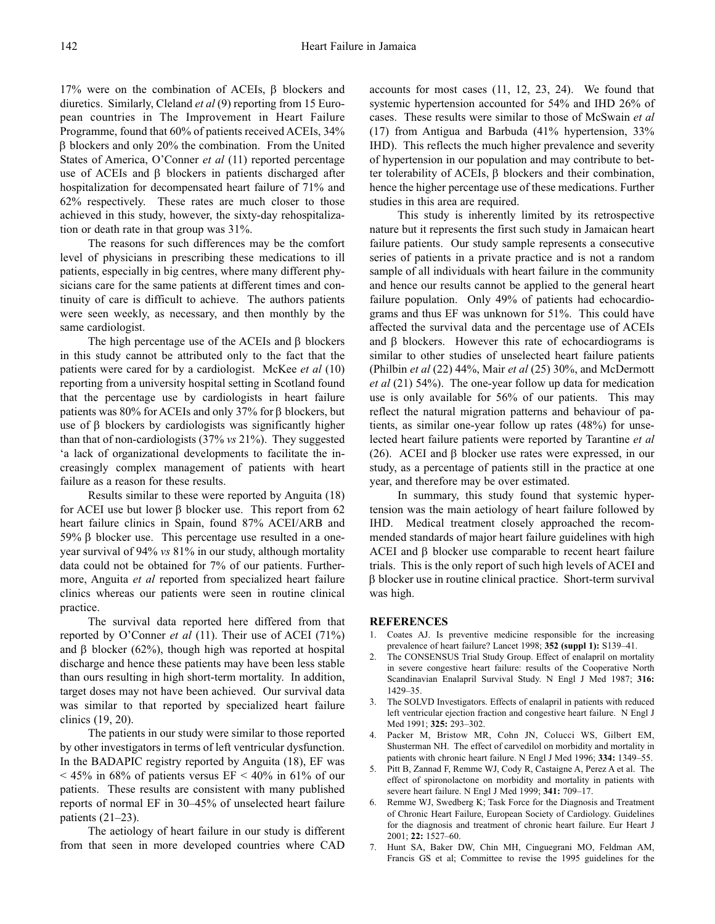17% were on the combination of ACEIs, β blockers and diuretics. Similarly, Cleland *et al* (9) reporting from 15 European countries in The Improvement in Heart Failure Programme, found that 60% of patients received ACEIs, 34% β blockers and only 20% the combination. From the United States of America, O'Conner *et al* (11) reported percentage use of ACEIs and  $β$  blockers in patients discharged after hospitalization for decompensated heart failure of 71% and 62% respectively. These rates are much closer to those achieved in this study, however, the sixty-day rehospitalization or death rate in that group was 31%.

The reasons for such differences may be the comfort level of physicians in prescribing these medications to ill patients, especially in big centres, where many different physicians care for the same patients at different times and continuity of care is difficult to achieve. The authors patients were seen weekly, as necessary, and then monthly by the same cardiologist.

The high percentage use of the ACEIs and β blockers in this study cannot be attributed only to the fact that the patients were cared for by a cardiologist. McKee *et al* (10) reporting from a university hospital setting in Scotland found that the percentage use by cardiologists in heart failure patients was 80% for ACEIs and only 37% for β blockers, but use of β blockers by cardiologists was significantly higher than that of non-cardiologists (37% *vs* 21%). They suggested 'a lack of organizational developments to facilitate the increasingly complex management of patients with heart failure as a reason for these results.

Results similar to these were reported by Anguita (18) for ACEI use but lower β blocker use. This report from 62 heart failure clinics in Spain, found 87% ACEI/ARB and 59% β blocker use. This percentage use resulted in a oneyear survival of 94% *vs* 81% in our study, although mortality data could not be obtained for 7% of our patients. Furthermore, Anguita *et al* reported from specialized heart failure clinics whereas our patients were seen in routine clinical practice.

The survival data reported here differed from that reported by O'Conner *et al* (11). Their use of ACEI (71%) and  $\beta$  blocker (62%), though high was reported at hospital discharge and hence these patients may have been less stable than ours resulting in high short-term mortality. In addition, target doses may not have been achieved. Our survival data was similar to that reported by specialized heart failure clinics (19, 20).

The patients in our study were similar to those reported by other investigators in terms of left ventricular dysfunction. In the BADAPIC registry reported by Anguita (18), EF was  $<$  45% in 68% of patients versus EF  $<$  40% in 61% of our patients. These results are consistent with many published reports of normal EF in 30–45% of unselected heart failure patients  $(21–23)$ .

The aetiology of heart failure in our study is different from that seen in more developed countries where CAD accounts for most cases (11, 12, 23, 24). We found that systemic hypertension accounted for 54% and IHD 26% of cases. These results were similar to those of McSwain *et al* (17) from Antigua and Barbuda (41% hypertension, 33% IHD). This reflects the much higher prevalence and severity of hypertension in our population and may contribute to better tolerability of ACEIs, β blockers and their combination, hence the higher percentage use of these medications. Further studies in this area are required.

This study is inherently limited by its retrospective nature but it represents the first such study in Jamaican heart failure patients. Our study sample represents a consecutive series of patients in a private practice and is not a random sample of all individuals with heart failure in the community and hence our results cannot be applied to the general heart failure population. Only 49% of patients had echocardiograms and thus EF was unknown for 51%. This could have affected the survival data and the percentage use of ACEIs and  $\beta$  blockers. However this rate of echocardiograms is similar to other studies of unselected heart failure patients (Philbin *et al* (22) 44%, Mair *et al* (25) 30%, and McDermott *et al* (21) 54%). The one-year follow up data for medication use is only available for 56% of our patients. This may reflect the natural migration patterns and behaviour of patients, as similar one-year follow up rates (48%) for unselected heart failure patients were reported by Tarantine *et al* (26). ACEI and β blocker use rates were expressed, in our study, as a percentage of patients still in the practice at one year, and therefore may be over estimated.

In summary, this study found that systemic hypertension was the main aetiology of heart failure followed by IHD. Medical treatment closely approached the recommended standards of major heart failure guidelines with high ACEI and  $β$  blocker use comparable to recent heart failure trials. This is the only report of such high levels of ACEI and β blocker use in routine clinical practice. Short-term survival was high.

#### **REFERENCES**

- 1. Coates AJ. Is preventive medicine responsible for the increasing prevalence of heart failure? Lancet 1998; **352 (suppl 1):** S139–41.
- The CONSENSUS Trial Study Group. Effect of enalapril on mortality in severe congestive heart failure: results of the Cooperative North Scandinavian Enalapril Survival Study. N Engl J Med 1987; **316:** 1429–35.
- 3. The SOLVD Investigators. Effects of enalapril in patients with reduced left ventricular ejection fraction and congestive heart failure. N Engl J Med 1991; **325:** 293–302.
- Packer M, Bristow MR, Cohn JN, Colucci WS, Gilbert EM, Shusterman NH. The effect of carvedilol on morbidity and mortality in patients with chronic heart failure. N Engl J Med 1996; **334:** 1349–55.
- 5. Pitt B, Zannad F, Remme WJ, Cody R, Castaigne A, Perez A et al. The effect of spironolactone on morbidity and mortality in patients with severe heart failure. N Engl J Med 1999; **341:** 709–17.
- Remme WJ, Swedberg K; Task Force for the Diagnosis and Treatment of Chronic Heart Failure, European Society of Cardiology. Guidelines for the diagnosis and treatment of chronic heart failure. Eur Heart J 2001; **22:** 1527–60.
- 7. Hunt SA, Baker DW, Chin MH, Cinguegrani MO, Feldman AM, Francis GS et al; Committee to revise the 1995 guidelines for the